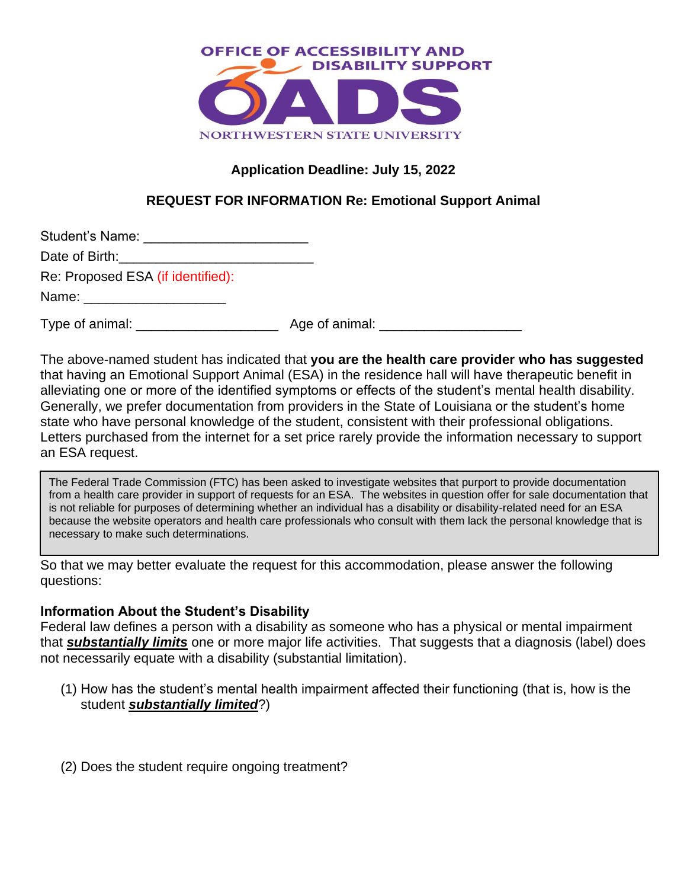

# **Application Deadline: July 15, 2022**

## **REQUEST FOR INFORMATION Re: Emotional Support Animal**

| Student's Name:                              |  |
|----------------------------------------------|--|
| Date of Birth:                               |  |
| $D_{\alpha}$ : Drapagad ECA (if identified): |  |

Re: Proposed ESA (if identified):

Name: \_\_\_\_\_\_

Type of animal: \_\_\_\_\_\_\_\_\_\_\_\_\_\_\_\_\_\_\_ Age of animal: \_\_\_\_\_\_\_\_\_\_\_\_\_\_\_\_\_\_\_

The above-named student has indicated that **you are the health care provider who has suggested** that having an Emotional Support Animal (ESA) in the residence hall will have therapeutic benefit in alleviating one or more of the identified symptoms or effects of the student's mental health disability. Generally, we prefer documentation from providers in the State of Louisiana or the student's home state who have personal knowledge of the student, consistent with their professional obligations. Letters purchased from the internet for a set price rarely provide the information necessary to support an ESA request.

The Federal Trade Commission (FTC) has been asked to investigate websites that purport to provide documentation from a health care provider in support of requests for an ESA. The websites in question offer for sale documentation that is not reliable for purposes of determining whether an individual has a disability or disability-related need for an ESA because the website operators and health care professionals who consult with them lack the personal knowledge that is necessary to make such determinations.

So that we may better evaluate the request for this accommodation, please answer the following questions:

#### **Information About the Student's Disability**

Federal law defines a person with a disability as someone who has a physical or mental impairment that *substantially limits* one or more major life activities. That suggests that a diagnosis (label) does not necessarily equate with a disability (substantial limitation).

- (1) How has the student's mental health impairment affected their functioning (that is, how is the student *substantially limited*?)
- (2) Does the student require ongoing treatment?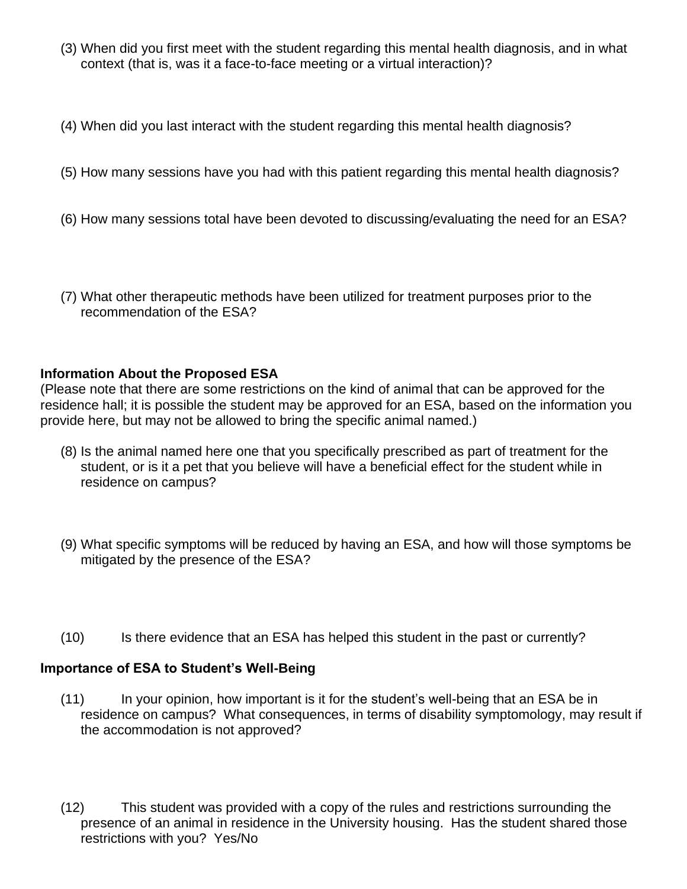- (3) When did you first meet with the student regarding this mental health diagnosis, and in what context (that is, was it a face-to-face meeting or a virtual interaction)?
- (4) When did you last interact with the student regarding this mental health diagnosis?
- (5) How many sessions have you had with this patient regarding this mental health diagnosis?
- (6) How many sessions total have been devoted to discussing/evaluating the need for an ESA?
- (7) What other therapeutic methods have been utilized for treatment purposes prior to the recommendation of the ESA?

### **Information About the Proposed ESA**

(Please note that there are some restrictions on the kind of animal that can be approved for the residence hall; it is possible the student may be approved for an ESA, based on the information you provide here, but may not be allowed to bring the specific animal named.)

- (8) Is the animal named here one that you specifically prescribed as part of treatment for the student, or is it a pet that you believe will have a beneficial effect for the student while in residence on campus?
- (9) What specific symptoms will be reduced by having an ESA, and how will those symptoms be mitigated by the presence of the ESA?
- (10) Is there evidence that an ESA has helped this student in the past or currently?

#### **Importance of ESA to Student's Well-Being**

- (11) In your opinion, how important is it for the student's well-being that an ESA be in residence on campus? What consequences, in terms of disability symptomology, may result if the accommodation is not approved?
- (12) This student was provided with a copy of the rules and restrictions surrounding the presence of an animal in residence in the University housing. Has the student shared those restrictions with you? Yes/No